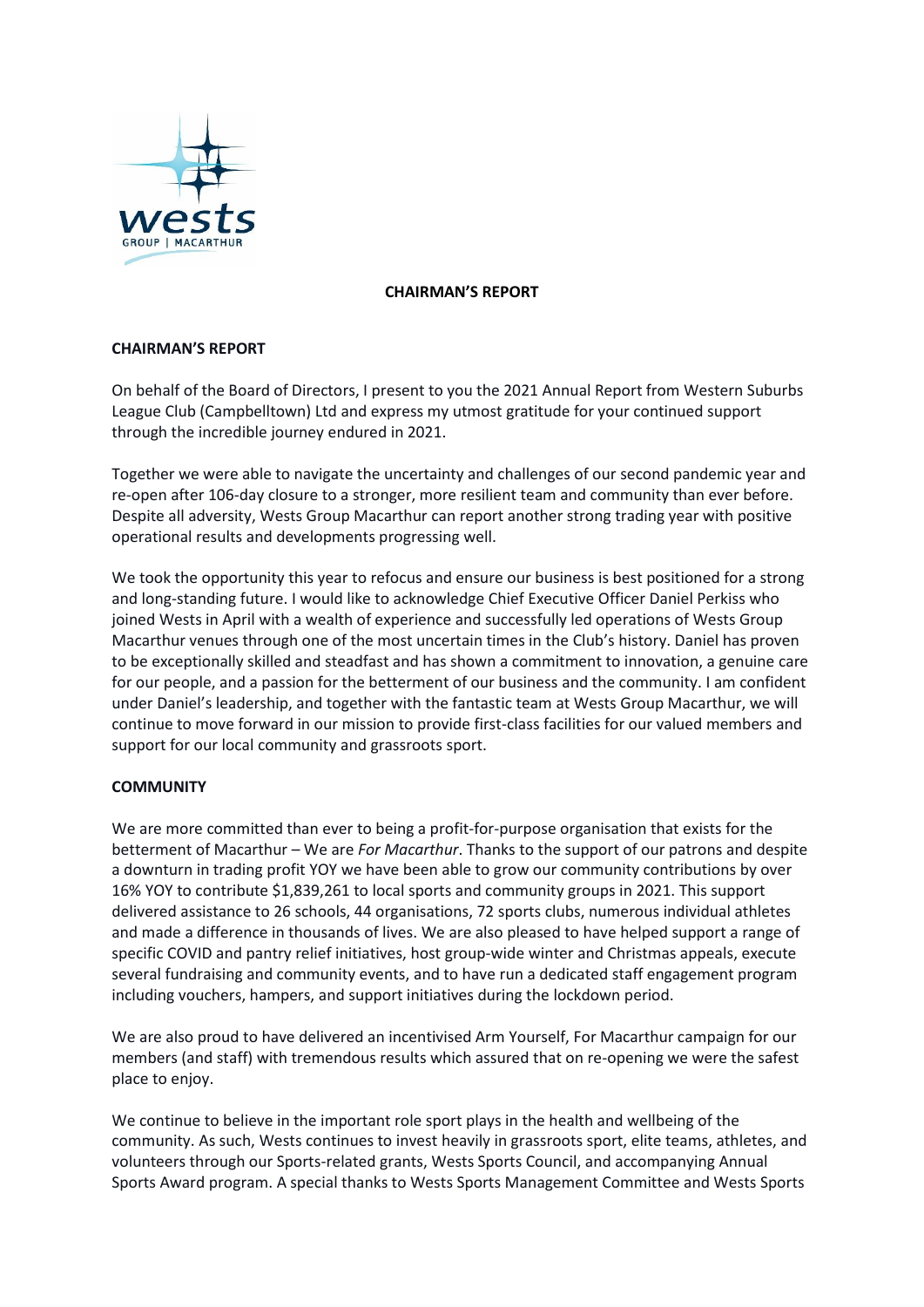

### **CHAIRMAN'S REPORT**

# **CHAIRMAN'S REPORT**

On behalf of the Board of Directors, I present to you the 2021 Annual Report from Western Suburbs League Club (Campbelltown) Ltd and express my utmost gratitude for your continued support through the incredible journey endured in 2021.

Together we were able to navigate the uncertainty and challenges of our second pandemic year and re-open after 106-day closure to a stronger, more resilient team and community than ever before. Despite all adversity, Wests Group Macarthur can report another strong trading year with positive operational results and developments progressing well.

We took the opportunity this year to refocus and ensure our business is best positioned for a strong and long-standing future. I would like to acknowledge Chief Executive Officer Daniel Perkiss who joined Wests in April with a wealth of experience and successfully led operations of Wests Group Macarthur venues through one of the most uncertain times in the Club's history. Daniel has proven to be exceptionally skilled and steadfast and has shown a commitment to innovation, a genuine care for our people, and a passion for the betterment of our business and the community. I am confident under Daniel's leadership, and together with the fantastic team at Wests Group Macarthur, we will continue to move forward in our mission to provide first-class facilities for our valued members and support for our local community and grassroots sport.

## **COMMUNITY**

We are more committed than ever to being a profit-for-purpose organisation that exists for the betterment of Macarthur – We are *For Macarthur*. Thanks to the support of our patrons and despite a downturn in trading profit YOY we have been able to grow our community contributions by over 16% YOY to contribute \$1,839,261 to local sports and community groups in 2021. This support delivered assistance to 26 schools, 44 organisations, 72 sports clubs, numerous individual athletes and made a difference in thousands of lives. We are also pleased to have helped support a range of specific COVID and pantry relief initiatives, host group-wide winter and Christmas appeals, execute several fundraising and community events, and to have run a dedicated staff engagement program including vouchers, hampers, and support initiatives during the lockdown period.

We are also proud to have delivered an incentivised Arm Yourself, For Macarthur campaign for our members (and staff) with tremendous results which assured that on re-opening we were the safest place to enjoy.

We continue to believe in the important role sport plays in the health and wellbeing of the community. As such, Wests continues to invest heavily in grassroots sport, elite teams, athletes, and volunteers through our Sports-related grants, Wests Sports Council, and accompanying Annual Sports Award program. A special thanks to Wests Sports Management Committee and Wests Sports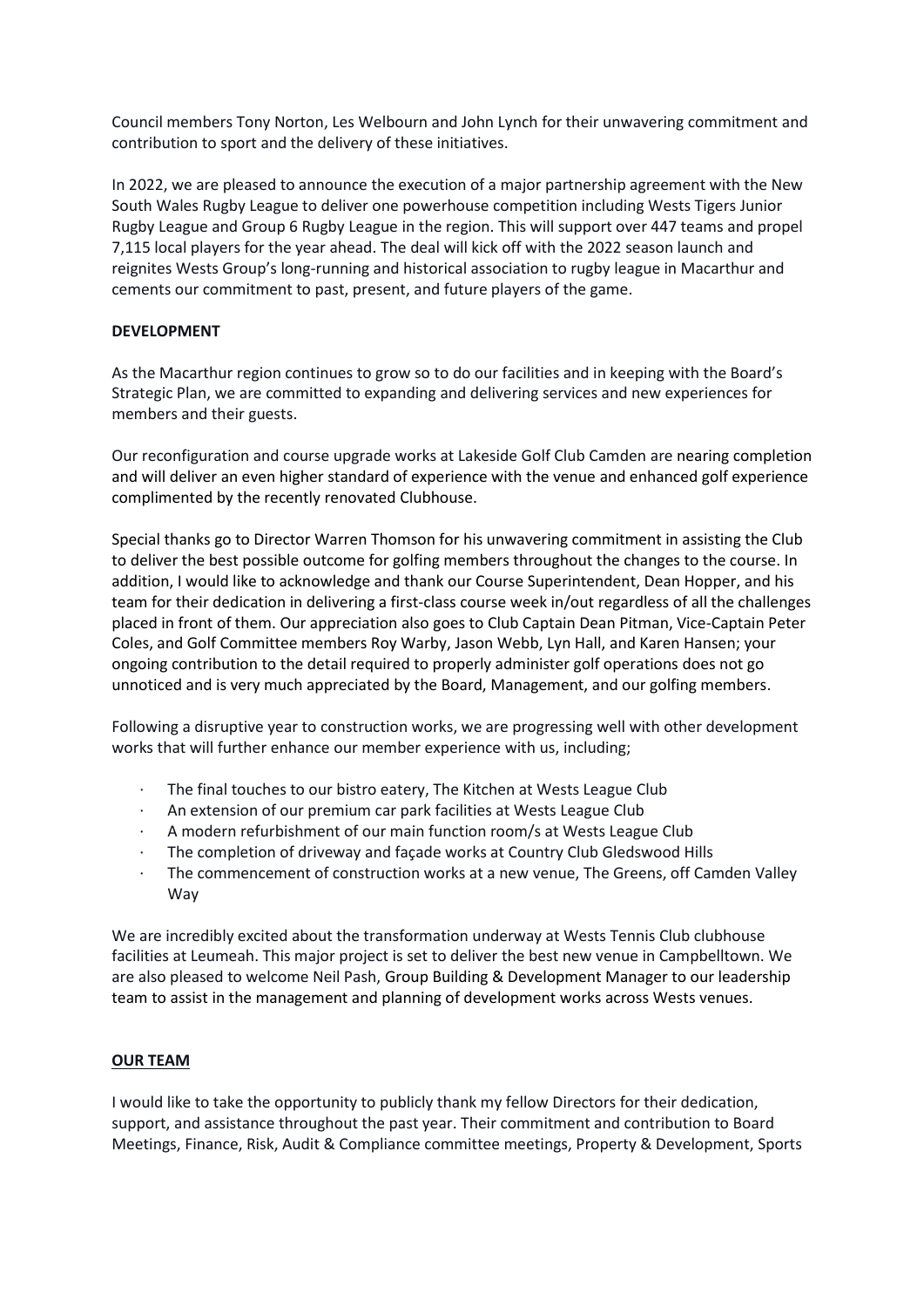Council members Tony Norton, Les Welbourn and John Lynch for their unwavering commitment and contribution to sport and the delivery of these initiatives.

In 2022, we are pleased to announce the execution of a major partnership agreement with the New South Wales Rugby League to deliver one powerhouse competition including Wests Tigers Junior Rugby League and Group 6 Rugby League in the region. This will support over 447 teams and propel 7,115 local players for the year ahead. The deal will kick off with the 2022 season launch and reignites Wests Group's long-running and historical association to rugby league in Macarthur and cements our commitment to past, present, and future players of the game.

## **DEVELOPMENT**

As the Macarthur region continues to grow so to do our facilities and in keeping with the Board's Strategic Plan, we are committed to expanding and delivering services and new experiences for members and their guests.

Our reconfiguration and course upgrade works at Lakeside Golf Club Camden are nearing completion and will deliver an even higher standard of experience with the venue and enhanced golf experience complimented by the recently renovated Clubhouse.

Special thanks go to Director Warren Thomson for his unwavering commitment in assisting the Club to deliver the best possible outcome for golfing members throughout the changes to the course. In addition, I would like to acknowledge and thank our Course Superintendent, Dean Hopper, and his team for their dedication in delivering a first-class course week in/out regardless of all the challenges placed in front of them. Our appreciation also goes to Club Captain Dean Pitman, Vice-Captain Peter Coles, and Golf Committee members Roy Warby, Jason Webb, Lyn Hall, and Karen Hansen; your ongoing contribution to the detail required to properly administer golf operations does not go unnoticed and is very much appreciated by the Board, Management, and our golfing members.

Following a disruptive year to construction works, we are progressing well with other development works that will further enhance our member experience with us, including;

- The final touches to our bistro eatery, The Kitchen at Wests League Club
- An extension of our premium car park facilities at Wests League Club
- · A modern refurbishment of our main function room/s at Wests League Club
- · The completion of driveway and façade works at Country Club Gledswood Hills
- · The commencement of construction works at a new venue, The Greens, off Camden Valley Way

We are incredibly excited about the transformation underway at Wests Tennis Club clubhouse facilities at Leumeah. This major project is set to deliver the best new venue in Campbelltown. We are also pleased to welcome Neil Pash, Group Building & Development Manager to our leadership team to assist in the management and planning of development works across Wests venues.

#### **OUR TEAM**

I would like to take the opportunity to publicly thank my fellow Directors for their dedication, support, and assistance throughout the past year. Their commitment and contribution to Board Meetings, Finance, Risk, Audit & Compliance committee meetings, Property & Development, Sports